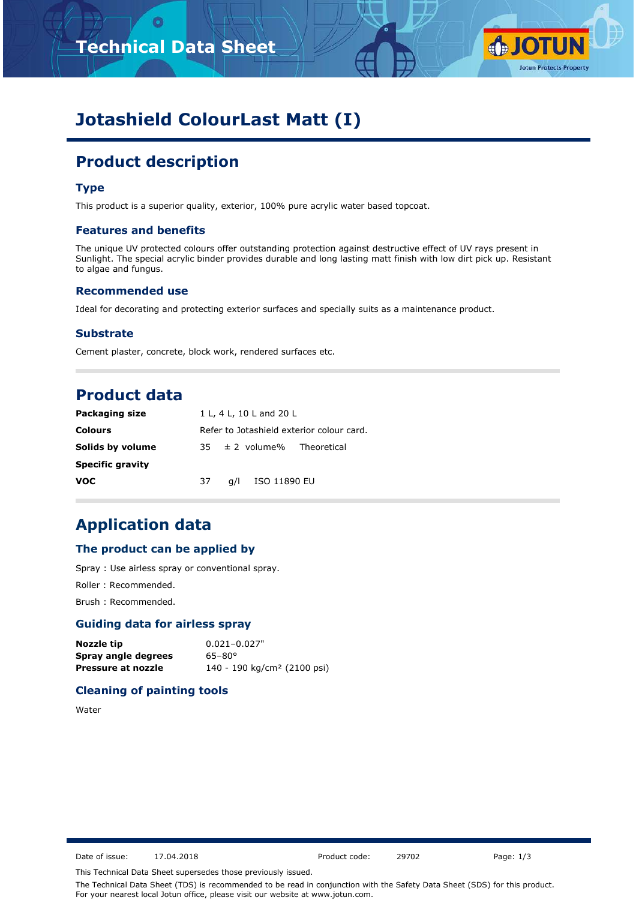# **Technical Data Sheet**



# **Jotashield ColourLast Matt (I)**

# **Product description**

# **Type**

This product is a superior quality, exterior, 100% pure acrylic water based topcoat.

#### **Features and benefits**

The unique UV protected colours offer outstanding protection against destructive effect of UV rays present in Sunlight. The special acrylic binder provides durable and long lasting matt finish with low dirt pick up. Resistant to algae and fungus.

## **Recommended use**

Ideal for decorating and protecting exterior surfaces and specially suits as a maintenance product.

#### **Substrate**

Cement plaster, concrete, block work, rendered surfaces etc.

# **Product data**

| <b>Packaging size</b>   |    | 1 L, 4 L, 10 L and 20 L                   |                                |  |  |
|-------------------------|----|-------------------------------------------|--------------------------------|--|--|
| <b>Colours</b>          |    | Refer to Jotashield exterior colour card. |                                |  |  |
| Solids by volume        |    |                                           | $35 \pm 2$ volume% Theoretical |  |  |
| <b>Specific gravity</b> |    |                                           |                                |  |  |
| <b>VOC</b>              | 37 | a/l                                       | ISO 11890 EU                   |  |  |

# **Application data**

### **The product can be applied by**

Spray : Use airless spray or conventional spray.

Roller : Recommended.

Brush : Recommended.

# **Guiding data for airless spray**

| Nozzle tip          | $0.021 - 0.027"$                        |
|---------------------|-----------------------------------------|
| Spray angle degrees | $65 - 80^{\circ}$                       |
| Pressure at nozzle  | 140 - 190 kg/cm <sup>2</sup> (2100 psi) |

# **Cleaning of painting tools**

Water

Date of issue: 17.04.2018 Product code: 29702 Page: 1/3

This Technical Data Sheet supersedes those previously issued.

The Technical Data Sheet (TDS) is recommended to be read in conjunction with the Safety Data Sheet (SDS) for this product. For your nearest local Jotun office, please visit our website at www.jotun.com.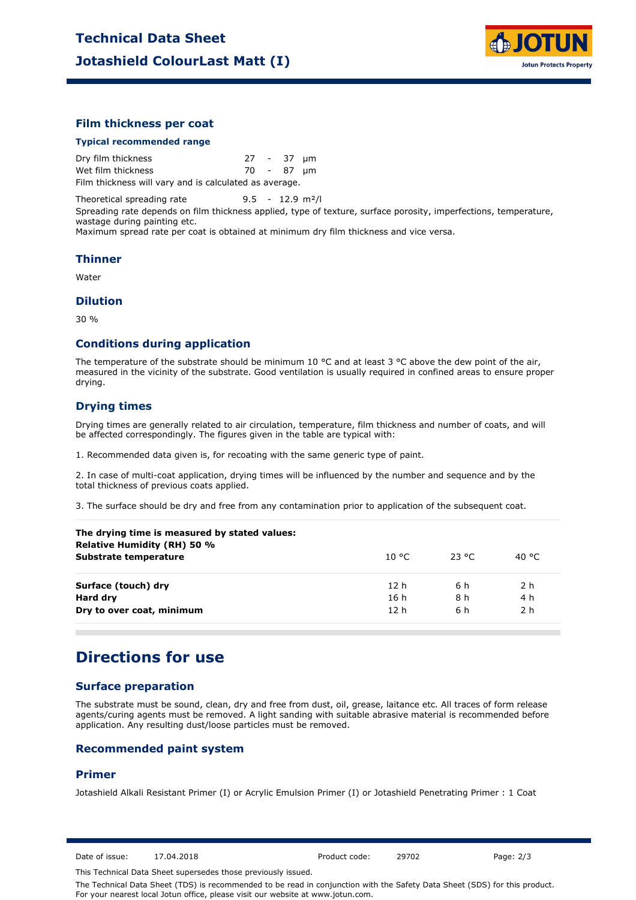

## **Film thickness per coat**

#### **Typical recommended range**

Dry film thickness 27 - 37 µm Wet film thickness 70 - 87 µm Film thickness will vary and is calculated as average.

Theoretical spreading rate 9.5 - 12.9 m²/l

Spreading rate depends on film thickness applied, type of texture, surface porosity, imperfections, temperature, wastage during painting etc.

Maximum spread rate per coat is obtained at minimum dry film thickness and vice versa.

#### **Thinner**

Water

#### **Dilution**

30 %

#### **Conditions during application**

The temperature of the substrate should be minimum 10 °C and at least 3 °C above the dew point of the air, measured in the vicinity of the substrate. Good ventilation is usually required in confined areas to ensure proper drying.

## **Drying times**

Drying times are generally related to air circulation, temperature, film thickness and number of coats, and will be affected correspondingly. The figures given in the table are typical with:

1. Recommended data given is, for recoating with the same generic type of paint.

2. In case of multi-coat application, drying times will be influenced by the number and sequence and by the total thickness of previous coats applied.

3. The surface should be dry and free from any contamination prior to application of the subsequent coat.

| The drying time is measured by stated values:<br>Relative Humidity (RH) 50 % |                 |          |        |  |
|------------------------------------------------------------------------------|-----------------|----------|--------|--|
| Substrate temperature                                                        | 10 °C.          | - 23 °C. | 40 °C. |  |
| Surface (touch) dry                                                          | 12 h            | 6 h      | 2 h    |  |
| Hard dry                                                                     | 16 h            | 8 h      | 4 h    |  |
| Dry to over coat, minimum                                                    | 12 <sub>h</sub> | 6 h      | 2 h    |  |

# **Directions for use**

## **Surface preparation**

The substrate must be sound, clean, dry and free from dust, oil, grease, laitance etc. All traces of form release agents/curing agents must be removed. A light sanding with suitable abrasive material is recommended before application. Any resulting dust/loose particles must be removed.

## **Recommended paint system**

#### **Primer**

Jotashield Alkali Resistant Primer (I) or Acrylic Emulsion Primer (I) or Jotashield Penetrating Primer : 1 Coat

Date of issue: 17.04.2018 Product code: 29702 Page: 2/3

This Technical Data Sheet supersedes those previously issued.

The Technical Data Sheet (TDS) is recommended to be read in conjunction with the Safety Data Sheet (SDS) for this product. For your nearest local Jotun office, please visit our website at www.jotun.com.